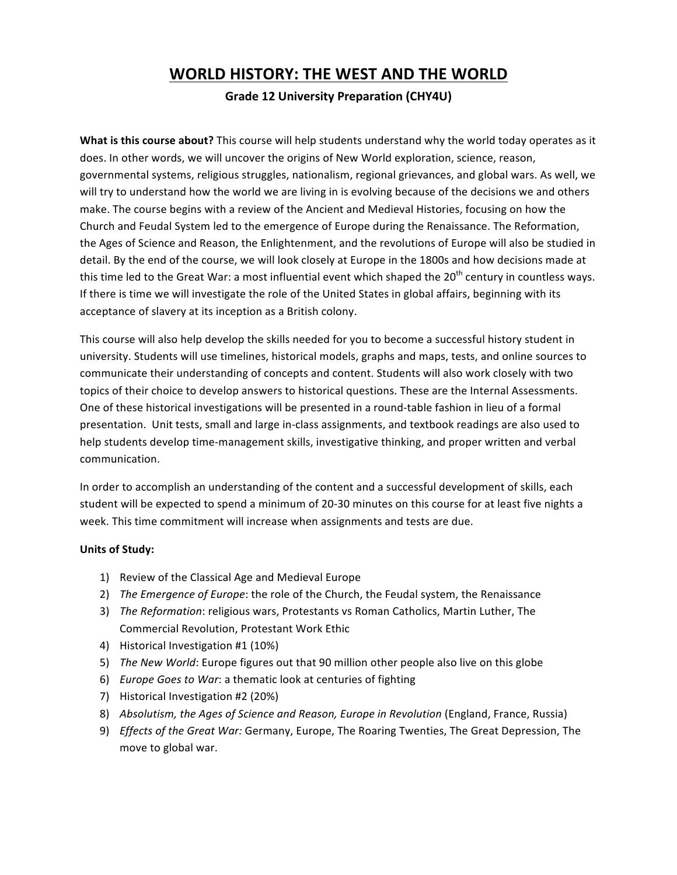## **WORLD HISTORY: THE WEST AND THE WORLD**

## **Grade 12 University Preparation (CHY4U)**

**What is this course about?** This course will help students understand why the world today operates as it does. In other words, we will uncover the origins of New World exploration, science, reason, governmental systems, religious struggles, nationalism, regional grievances, and global wars. As well, we will try to understand how the world we are living in is evolving because of the decisions we and others make. The course begins with a review of the Ancient and Medieval Histories, focusing on how the Church and Feudal System led to the emergence of Europe during the Renaissance. The Reformation, the Ages of Science and Reason, the Enlightenment, and the revolutions of Europe will also be studied in detail. By the end of the course, we will look closely at Europe in the 1800s and how decisions made at this time led to the Great War: a most influential event which shaped the  $20<sup>th</sup>$  century in countless ways. If there is time we will investigate the role of the United States in global affairs, beginning with its acceptance of slavery at its inception as a British colony.

This course will also help develop the skills needed for you to become a successful history student in university. Students will use timelines, historical models, graphs and maps, tests, and online sources to communicate their understanding of concepts and content. Students will also work closely with two topics of their choice to develop answers to historical questions. These are the Internal Assessments. One of these historical investigations will be presented in a round-table fashion in lieu of a formal presentation. Unit tests, small and large in-class assignments, and textbook readings are also used to help students develop time-management skills, investigative thinking, and proper written and verbal communication.

In order to accomplish an understanding of the content and a successful development of skills, each student will be expected to spend a minimum of 20-30 minutes on this course for at least five nights a week. This time commitment will increase when assignments and tests are due.

## **Units of Study:**

- 1) Review of the Classical Age and Medieval Europe
- 2) *The Emergence of Europe*: the role of the Church, the Feudal system, the Renaissance
- 3) *The Reformation*: religious wars, Protestants vs Roman Catholics, Martin Luther, The Commercial Revolution, Protestant Work Ethic
- 4) Historical Investigation #1 (10%)
- 5) *The New World*: Europe figures out that 90 million other people also live on this globe
- 6) *Europe Goes to War*: a thematic look at centuries of fighting
- 7) Historical Investigation #2 (20%)
- 8) *Absolutism, the Ages of Science and Reason, Europe in Revolution* (England, France, Russia)
- 9) *Effects of the Great War:* Germany, Europe, The Roaring Twenties, The Great Depression, The move to global war.